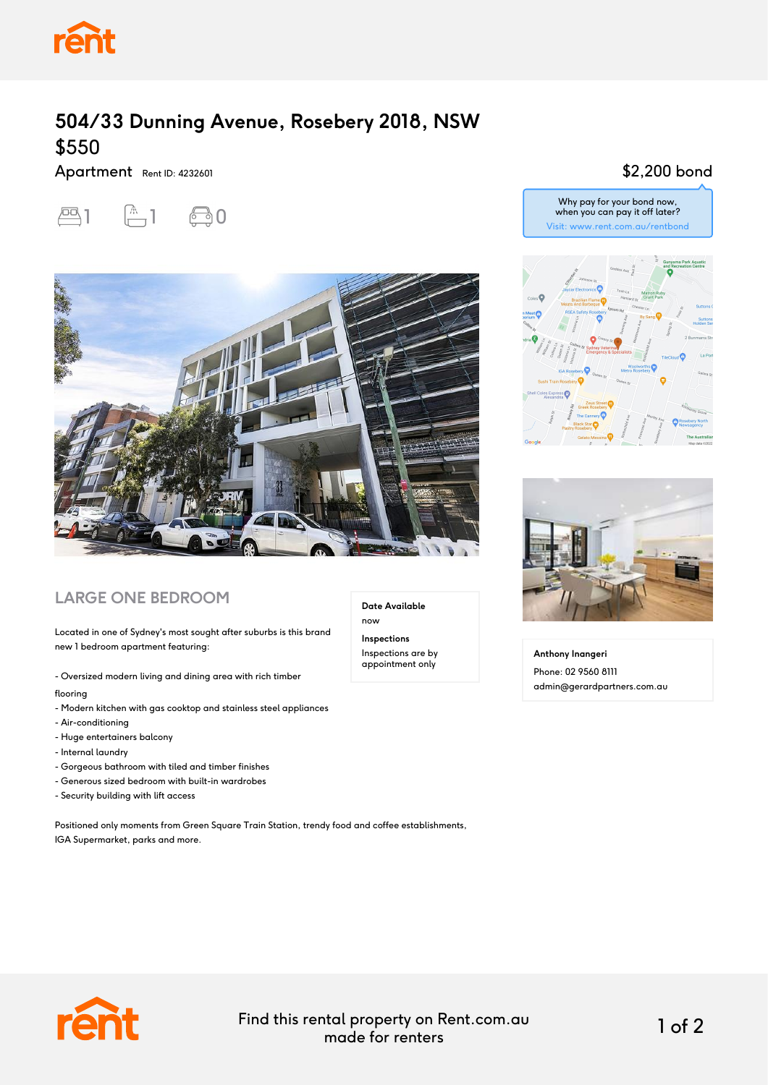

# **504/33 Dunning Avenue, Rosebery 2018, NSW** \$550

Apartment Rent ID: 4232601





### **LARGE ONE BEDROOM**

Located in one of Sydney's most sought after suburbs is this brand new 1 bedroom apartment featuring:

- Oversized modern living and dining area with rich timber flooring
- Modern kitchen with gas cooktop and stainless steel appliances
- Air-conditioning
- Huge entertainers balcony
- Internal laundry
- Gorgeous bathroom with tiled and timber finishes
- Generous sized bedroom with built-in wardrobes
- Security building with lift access

Positioned only moments from Green Square Train Station, trendy food and coffee establishments, IGA Supermarket, parks and more.

#### \$2,200 bond





**Anthony Inangeri** Phone: 02 9560 8111 admin@gerardpartners.com.au



Find this rental property on Rent.com.au made for renters 1 of 2

**Date Available**

now **Inspections** Inspections are by appointment only